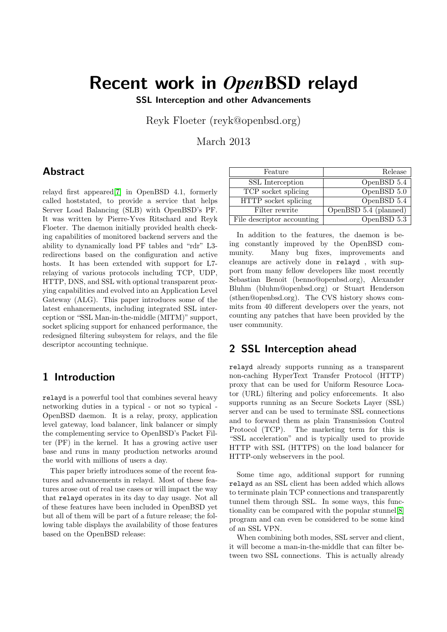# Recent work in *Open*BSD relayd

SSL Interception and other Advancements

Reyk Floeter (reyk@openbsd.org)

March 2013

# Abstract

relayd first appeared[\[7\]](#page-5-0) in OpenBSD 4.1, formerly called hoststated, to provide a service that helps Server Load Balancing (SLB) with OpenBSD's PF. It was written by Pierre-Yves Ritschard and Reyk Floeter. The daemon initially provided health checking capabilities of monitored backend servers and the ability to dynamically load PF tables and "rdr" L3 redirections based on the configuration and active hosts. It has been extended with support for L7 relaying of various protocols including TCP, UDP, HTTP, DNS, and SSL with optional transparent proxying capabilities and evolved into an Application Level Gateway (ALG). This paper introduces some of the latest enhancements, including integrated SSL interception or "SSL Man-in-the-middle (MITM)" support, socket splicing support for enhanced performance, the redesigned filtering subsystem for relays, and the file descriptor accounting technique.

## 1 Introduction

relayd is a powerful tool that combines several heavy networking duties in a typical - or not so typical - OpenBSD daemon. It is a relay, proxy, application level gateway, load balancer, link balancer or simply the complementing service to OpenBSD's Packet Filter (PF) in the kernel. It has a growing active user base and runs in many production networks around the world with millions of users a day.

This paper briefly introduces some of the recent features and advancements in relayd. Most of these features arose out of real use cases or will impact the way that relayd operates in its day to day usage. Not all of these features have been included in OpenBSD yet but all of them will be part of a future release; the following table displays the availability of those features based on the OpenBSD release:

| Feature                    | Release               |
|----------------------------|-----------------------|
| SSL Interception           | OpenBSD 5.4           |
| TCP socket splicing        | OpenBSD 5.0           |
| HTTP socket splicing       | OpenBSD 5.4           |
| Filter rewrite             | OpenBSD 5.4 (planned) |
| File descriptor accounting | OpenBSD 5.3           |

In addition to the features, the daemon is being constantly improved by the OpenBSD community. Many bug fixes, improvements and cleanups are actively done in relayd , with support from many fellow developers like most recently Sebastian Benoit (benno@openbsd.org), Alexander Bluhm (bluhm@openbsd.org) or Stuart Henderson (sthen@openbsd.org). The CVS history shows commits from 40 different developers over the years, not counting any patches that have been provided by the user community.

# 2 SSL Interception ahead

relayd already supports running as a transparent non-caching HyperText Transfer Protocol (HTTP) proxy that can be used for Uniform Resource Locator (URL) filtering and policy enforcements. It also supports running as an Secure Sockets Layer (SSL) server and can be used to terminate SSL connections and to forward them as plain Transmission Control Protocol (TCP). The marketing term for this is "SSL acceleration" and is typically used to provide HTTP with SSL (HTTPS) on the load balancer for HTTP-only webservers in the pool.

Some time ago, additional support for running relayd as an SSL client has been added which allows to terminate plain TCP connections and transparently tunnel them through SSL. In some ways, this functionality can be compared with the popular stunnel[\[8\]](#page-5-1) program and can even be considered to be some kind of an SSL VPN.

When combining both modes, SSL server and client, it will become a man-in-the-middle that can filter between two SSL connections. This is actually already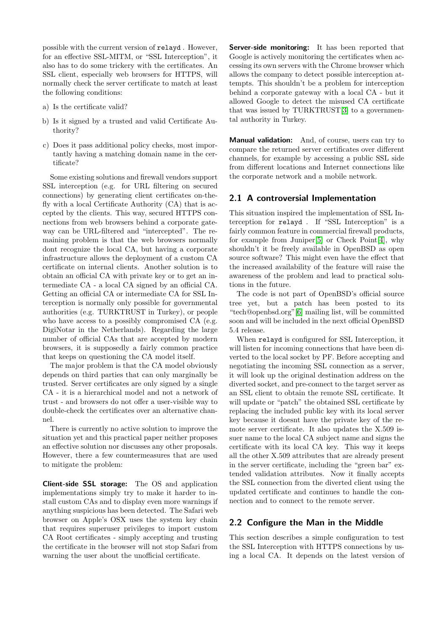possible with the current version of relayd . However, for an effective SSL-MITM, or "SSL Interception", it also has to do some trickery with the certificates. An SSL client, especially web browsers for HTTPS, will normally check the server certificate to match at least the following conditions:

- a) Is the certificate valid?
- b) Is it signed by a trusted and valid Certificate Authority?
- c) Does it pass additional policy checks, most importantly having a matching domain name in the certificate?

Some existing solutions and firewall vendors support SSL interception (e.g. for URL filtering on secured connections) by generating client certificates on-thefly with a local Certificate Authority (CA) that is accepted by the clients. This way, secured HTTPS connections from web browsers behind a corporate gateway can be URL-filtered and "intercepted". The remaining problem is that the web browsers normally dont recognize the local CA, but having a corporate infrastructure allows the deployment of a custom CA certificate on internal clients. Another solution is to obtain an official CA with private key or to get an intermediate CA - a local CA signed by an official CA. Getting an official CA or intermediate CA for SSL Interception is normally only possible for governmental authorities (e.g. TURKTRUST in Turkey), or people who have access to a possibly compromised CA (e.g. DigiNotar in the Netherlands). Regarding the large number of official CAs that are accepted by modern browsers, it is supposedly a fairly common practice that keeps on questioning the CA model itself.

The major problem is that the CA model obviously depends on third parties that can only marginally be trusted. Server certificates are only signed by a single CA - it is a hierarchical model and not a network of trust - and browsers do not offer a user-visible way to double-check the certificates over an alternative channel.

There is currently no active solution to improve the situation yet and this practical paper neither proposes an effective solution nor discusses any other proposals. However, there a few countermeasures that are used to mitigate the problem:

Client-side SSL storage: The OS and application implementations simply try to make it harder to install custom CAs and to display even more warnings if anything suspicious has been detected. The Safari web browser on Apple's OSX uses the system key chain that requires superuser privileges to import custom CA Root certificates - simply accepting and trusting the certificate in the browser will not stop Safari from warning the user about the unofficial certificate.

Server-side monitoring: It has been reported that Google is actively monitoring the certificates when accessing its own servers with the Chrome browser which allows the company to detect possible interception attempts. This shouldn't be a problem for interception behind a corporate gateway with a local CA - but it allowed Google to detect the misused CA certificate that was issued by TURKTRUST[\[3\]](#page-5-2) to a governmental authority in Turkey.

**Manual validation:** And, of course, users can try to compare the returned server certificates over different channels, for example by accessing a public SSL side from different locations and Internet connections like the corporate network and a mobile network.

#### 2.1 A controversial Implementation

This situation inspired the implementation of SSL Interception for relayd . If "SSL Interception" is a fairly common feature in commercial firewall products, for example from Juniper[\[5\]](#page-5-3) or Check Point[\[4\]](#page-5-4), why shouldn't it be freely available in OpenBSD as open source software? This might even have the effect that the increased availability of the feature will raise the awareness of the problem and lead to practical solutions in the future.

The code is not part of OpenBSD's official source tree yet, but a patch has been posted to its "tech@openbsd.org"[\[6\]](#page-5-5) mailing list, will be committed soon and will be included in the next official OpenBSD 5.4 release.

When relayd is configured for SSL Interception, it will listen for incoming connections that have been diverted to the local socket by PF. Before accepting and negotiating the incoming SSL connection as a server, it will look up the original destination address on the diverted socket, and pre-connect to the target server as an SSL client to obtain the remote SSL certificate. It will update or "patch" the obtained SSL certificate by replacing the included public key with its local server key because it doesnt have the private key of the remote server certificate. It also updates the X.509 issuer name to the local CA subject name and signs the certificate with its local CA key. This way it keeps all the other X.509 attributes that are already present in the server certificate, including the "green bar" extended validation attributes. Now it finally accepts the SSL connection from the diverted client using the updated certificate and continues to handle the connection and to connect to the remote server.

#### 2.2 Configure the Man in the Middle

This section describes a simple configuration to test the SSL Interception with HTTPS connections by using a local CA. It depends on the latest version of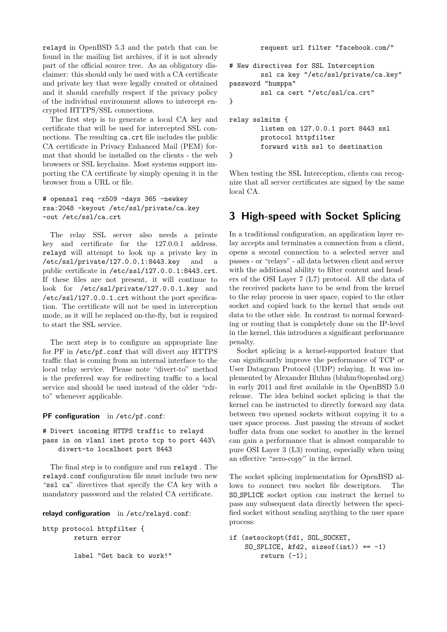relayd in OpenBSD 5.3 and the patch that can be found in the mailing list archives, if it is not already part of the official source tree. As an obligatory disclaimer: this should only be used with a CA certificate and private key that were legally created or obtained and it should carefully respect if the privacy policy of the individual environment allows to intercept encrypted HTTPS/SSL connections.

The first step is to generate a local CA key and certificate that will be used for intercepted SSL connections. The resulting ca.crt file includes the public CA certificate in Privacy Enhanced Mail (PEM) format that should be installed on the clients - the web browsers or SSL keychains. Most systems support importing the CA certificate by simply opening it in the browser from a URL or file.

```
# openssl req -x509 -days 365 -newkey
rsa:2048 -keyout /etc/ssl/private/ca.key
-out /etc/ssl/ca.crt
```
The relay SSL server also needs a private key and certificate for the 127.0.0.1 address. relayd will attempt to look up a private key in /etc/ssl/private/127.0.0.1:8443.key and a public certificate in /etc/ssl/127.0.0.1:8443.crt. If these files are not present, it will continue to look for /etc/ssl/private/127.0.0.1.key and /etc/ssl/127.0.0.1.crt without the port specification. The certificate will not be used in interception mode, as it will be replaced on-the-fly, but is required to start the SSL service.

The next step is to configure an appropriate line for PF in /etc/pf.conf that will divert any HTTPS traffic that is coming from an internal interface to the local relay service. Please note "divert-to" method is the preferred way for redirecting traffic to a local service and should be used instead of the older "rdrto" whenever applicable.

PF configuration in /etc/pf.conf:

# Divert incoming HTTPS traffic to relayd pass in on vlan1 inet proto tcp to port 443\ divert-to localhost port 8443

The final step is to configure and run relayd . The relayd.conf configuration file must include two new "ssl ca" directives that specify the CA key with a mandatory password and the related CA certificate.

```
relayd configuration in /etc/relayd.conf:
```
http protocol httpfilter { return error

label "Get back to work!"

request url filter "facebook.com/"

```
# New directives for SSL Interception
        ssl ca key "/etc/ssl/private/ca.key"
password "humppa"
        ssl ca cert "/etc/ssl/ca.crt"
}
relay sslmitm {
        listen on 127.0.0.1 port 8443 ssl
        protocol httpfilter
        forward with ssl to destination
}
```
When testing the SSL Interception, clients can recognize that all server certificates are signed by the same local CA.

# 3 High-speed with Socket Splicing

In a traditional configuration, an application layer relay accepts and terminates a connection from a client, opens a second connection to a selected server and passes - or "relays" - all data between client and server with the additional ability to filter content and headers of the OSI Layer 7 (L7) protocol. All the data of the received packets have to be send from the kernel to the relay process in user space, copied to the other socket and copied back to the kernel that sends out data to the other side. In contrast to normal forwarding or routing that is completely done on the IP-level in the kernel, this introduces a significant performance penalty.

Socket splicing is a kernel-supported feature that can significantly improve the performance of TCP or User Datagram Protocol (UDP) relaying. It was implemented by Alexander Bluhm (bluhm@openbsd.org) in early 2011 and first available in the OpenBSD 5.0 release. The idea behind socket splicing is that the kernel can be instructed to directly forward any data between two opened sockets without copying it to a user space process. Just passing the stream of socket buffer data from one socket to another in the kernel can gain a performance that is almost comparable to pure OSI Layer 3 (L3) routing, especially when using an effective "zero-copy" in the kernel.

The socket splicing implementation for OpenBSD allows to connect two socket file descriptors. The SO SPLICE socket option can instruct the kernel to pass any subsequent data directly between the specified socket without sending anything to the user space process:

```
if (setsockopt(fd1, SOL_SOCKET,
   SO_SPLICE, \&fd2, sizeof(int)) == -1)
        return (-1);
```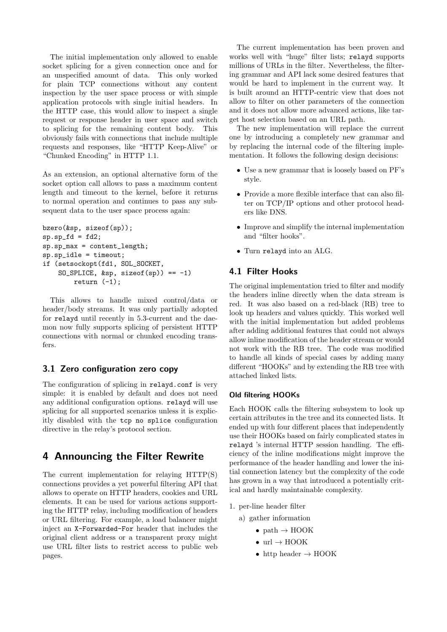The initial implementation only allowed to enable socket splicing for a given connection once and for an unspecified amount of data. This only worked for plain TCP connections without any content inspection by the user space process or with simple application protocols with single initial headers. In the HTTP case, this would allow to inspect a single request or response header in user space and switch to splicing for the remaining content body. This obviously fails with connections that include multiple requests and responses, like "HTTP Keep-Alive" or "Chunked Encoding" in HTTP 1.1.

As an extension, an optional alternative form of the socket option call allows to pass a maximum content length and timeout to the kernel, before it returns to normal operation and continues to pass any subsequent data to the user space process again:

```
bzero(&sp, sizeof(sp));
sp(sp_fd = fd2;sp.sp_max = content_length;
sp.sp_idle = timeout;
if (setsockopt(fd1, SOL_SOCKET,
    SO_SPLICE, \&sp, sizeof(sp)) == -1)
        return (-1);
```
This allows to handle mixed control/data or header/body streams. It was only partially adopted for relayd until recently in 5.3-current and the daemon now fully supports splicing of persistent HTTP connections with normal or chunked encoding transfers.

#### 3.1 Zero configuration zero copy

The configuration of splicing in relayd.conf is very simple: it is enabled by default and does not need any additional configuration options. relayd will use splicing for all supported scenarios unless it is explicitly disabled with the tcp no splice configuration directive in the relay's protocol section.

# 4 Announcing the Filter Rewrite

The current implementation for relaying HTTP(S) connections provides a yet powerful filtering API that allows to operate on HTTP headers, cookies and URL elements. It can be used for various actions supporting the HTTP relay, including modification of headers or URL filtering. For example, a load balancer might inject an X-Forwarded-For header that includes the original client address or a transparent proxy might use URL filter lists to restrict access to public web pages.

The current implementation has been proven and works well with "huge" filter lists; relayd supports millions of URLs in the filter. Nevertheless, the filtering grammar and API lack some desired features that would be hard to implement in the current way. It is built around an HTTP-centric view that does not allow to filter on other parameters of the connection and it does not allow more advanced actions, like target host selection based on an URL path.

The new implementation will replace the current one by introducing a completely new grammar and by replacing the internal code of the filtering implementation. It follows the following design decisions:

- Use a new grammar that is loosely based on PF's style.
- Provide a more flexible interface that can also filter on TCP/IP options and other protocol headers like DNS.
- Improve and simplify the internal implementation and "filter hooks".
- Turn relayd into an ALG.

#### 4.1 Filter Hooks

The original implementation tried to filter and modify the headers inline directly when the data stream is red. It was also based on a red-black (RB) tree to look up headers and values quickly. This worked well with the initial implementation but added problems after adding additional features that could not always allow inline modification of the header stream or would not work with the RB tree. The code was modified to handle all kinds of special cases by adding many different "HOOKs" and by extending the RB tree with attached linked lists.

#### Old filtering HOOKs

Each HOOK calls the filtering subsystem to look up certain attributes in the tree and its connected lists. It ended up with four different places that independently use their HOOKs based on fairly complicated states in relayd 's internal HTTP session handling. The efficiency of the inline modifications might improve the performance of the header handling and lower the initial connection latency but the complexity of the code has grown in a way that introduced a potentially critical and hardly maintainable complexity.

- 1. per-line header filter
	- a) gather information
		- path  $\rightarrow$  HOOK
		- url  $\rightarrow$  HOOK
		- http header  $\rightarrow$  HOOK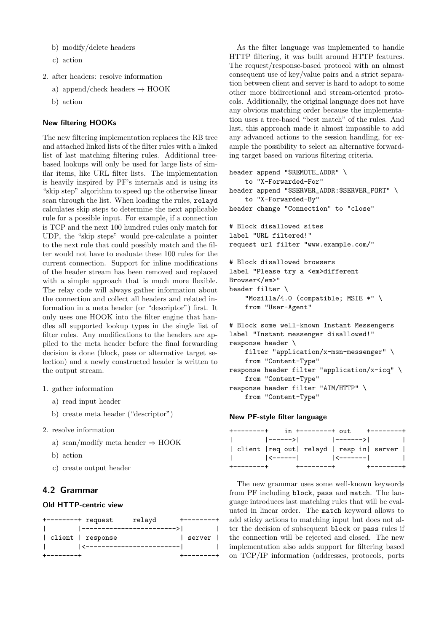- b) modify/delete headers
- c) action
- 2. after headers: resolve information
	- a) append/check headers  $\rightarrow$  HOOK
	- b) action

#### New filtering HOOKs

The new filtering implementation replaces the RB tree and attached linked lists of the filter rules with a linked list of last matching filtering rules. Additional treebased lookups will only be used for large lists of similar items, like URL filter lists. The implementation is heavily inspired by PF's internals and is using its "skip step" algorithm to speed up the otherwise linear scan through the list. When loading the rules, relayd calculates skip steps to determine the next applicable rule for a possible input. For example, if a connection is TCP and the next 100 hundred rules only match for UDP, the "skip steps" would pre-calculate a pointer to the next rule that could possibly match and the filter would not have to evaluate these 100 rules for the current connection. Support for inline modifications of the header stream has been removed and replaced with a simple approach that is much more flexible. The relay code will always gather information about the connection and collect all headers and related information in a meta header (or "descriptor") first. It only uses one HOOK into the filter engine that handles all supported lookup types in the single list of filter rules. Any modifications to the headers are applied to the meta header before the final forwarding decision is done (block, pass or alternative target selection) and a newly constructed header is written to the output stream.

- 1. gather information
	- a) read input header
	- b) create meta header ("descriptor")
- 2. resolve information
	- a) scan/modify meta header  $\Rightarrow$  HOOK
	- b) action
	- c) create output header

#### 4.2 Grammar

#### Old HTTP-centric view

| $+$ --------+ request |                   | relayd                  |        |  |
|-----------------------|-------------------|-------------------------|--------|--|
|                       |                   | ----------------------- |        |  |
|                       | client   response |                         | server |  |
|                       | ------------      |                         |        |  |
|                       |                   |                         |        |  |

As the filter language was implemented to handle HTTP filtering, it was built around HTTP features. The request/response-based protocol with an almost consequent use of key/value pairs and a strict separation between client and server is hard to adopt to some other more bidirectional and stream-oriented protocols. Additionally, the original language does not have any obvious matching order because the implementation uses a tree-based "best match" of the rules. And last, this approach made it almost impossible to add any advanced actions to the session handling, for example the possibility to select an alternative forwarding target based on various filtering criteria.

```
header append "$REMOTE_ADDR" \
    to "X-Forwarded-For"
header append "$SERVER_ADDR:$SERVER_PORT" \
    to "X-Forwarded-By"
header change "Connection" to "close"
# Block disallowed sites
label "URL filtered!"
request url filter "www.example.com/"
# Block disallowed browsers
label "Please try a <em>different
Browser</em>"
header filter \
    "Mozilla/4.0 (compatible; MSIE *" \
    from "User-Agent"
# Block some well-known Instant Messengers
label "Instant messenger disallowed!"
response header \
    filter "application/x-msn-messenger" \
```

```
from "Content-Type"
response header filter "application/x-icq" \
   from "Content-Type"
response header filter "AIM/HTTP" \
   from "Content-Type"
```
#### New PF-style filter language

| $+ - - - - - - - +$                        | in +--------+ out              |  | $+ - - - - - - - +$ |  |
|--------------------------------------------|--------------------------------|--|---------------------|--|
| <b>The Common</b>                          | ------>               -------> |  |                     |  |
| client   req out  relayd   resp in  server |                                |  |                     |  |
|                                            |                                |  |                     |  |
| +--------                                  | -----------                    |  |                     |  |

The new grammar uses some well-known keywords from PF including block, pass and match. The language introduces last matching rules that will be evaluated in linear order. The match keyword allows to add sticky actions to matching input but does not alter the decision of subsequent block or pass rules if the connection will be rejected and closed. The new implementation also adds support for filtering based on TCP/IP information (addresses, protocols, ports